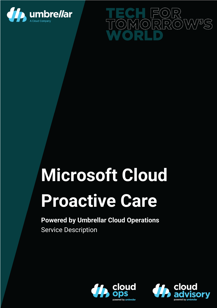



# **Microsoft Cloud**

# **Proactive Care**

# **Powered by Umbrellar Cloud Operations** Service Description



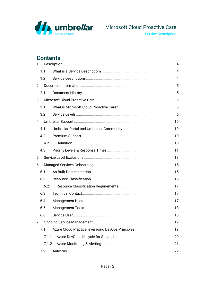

# **Contents**

| $\mathbf{1}$   |       |  |
|----------------|-------|--|
|                | 1.1   |  |
|                | 1.2   |  |
| $\overline{2}$ |       |  |
|                | 2.1   |  |
| 3              |       |  |
|                | 3.1   |  |
|                | 3.2   |  |
| 4              |       |  |
|                | 4.1   |  |
|                | 4.2   |  |
|                | 4.2.1 |  |
|                | 4.3   |  |
| 5              |       |  |
| 6              |       |  |
|                | 6.1   |  |
|                | 6.2   |  |
|                | 6.2.1 |  |
|                | 6.3   |  |
|                | 6.4   |  |
|                | 6.5   |  |
|                | 6.6   |  |
| 7              |       |  |
|                | 7.1   |  |
|                | 7.1.1 |  |
|                | 7.1.2 |  |
|                | 7.2   |  |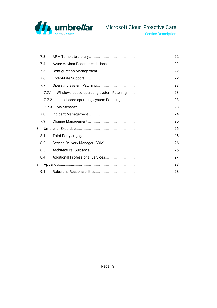

|   | 7.3   |  |
|---|-------|--|
|   | 7.4   |  |
|   | 7.5   |  |
|   | 7.6   |  |
|   | 7.7   |  |
|   | 7.7.1 |  |
|   | 7.7.2 |  |
|   | 7.7.3 |  |
|   | 7.8   |  |
|   | 7.9   |  |
| 8 |       |  |
|   | 8.1   |  |
|   | 8.2   |  |
|   | 8.3   |  |
|   | 8.4   |  |
| 9 |       |  |
|   | 9.1   |  |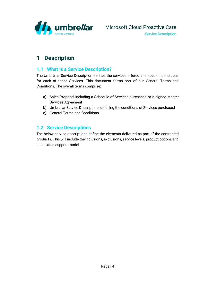

# <span id="page-3-0"></span>**1 Description**

#### <span id="page-3-1"></span>**1.1 What is a Service Description?**

The Umbrellar Service Description defines the services offered and specific conditions for each of these Services. This document forms part of our General Terms and Conditions. The overall terms comprise:

- a) Sales Proposal including a Schedule of Services purchased or a signed Master Services Agreement
- b) Umbrellar Service Descriptions detailing the conditions of Services purchased
- c) General Terms and Conditions

#### <span id="page-3-2"></span>**1.2 Service Descriptions**

The below service descriptions define the elements delivered as part of the contracted products. This will include the inclusions, exclusions, service levels, product options and associated support model.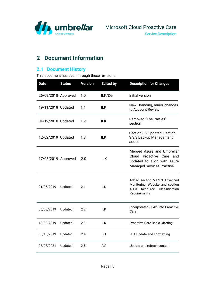

# <span id="page-4-0"></span>**2 Document Information**

#### <span id="page-4-1"></span>**2.1 Document History**

This document has been through these revisions:

| <b>Date</b>         | <b>Status</b> | <b>Version</b> | <b>Edited by</b> | <b>Description for Changes</b>                                                                                            |
|---------------------|---------------|----------------|------------------|---------------------------------------------------------------------------------------------------------------------------|
| 26/09/2018 Approved |               | 1.0            | ILK/DG           | Initial version                                                                                                           |
| 19/11/2018 Updated  |               | 1.1            | <b>ILK</b>       | New Branding, minor changes<br>to Account Review                                                                          |
| 04/12/2018 Updated  |               | 1.2            | ILK              | Removed "The Parties"<br>section                                                                                          |
| 12/02/2019 Updated  |               | 1.3            | <b>ILK</b>       | Section 3.2 updated; Section<br>3.3.3 Backup Management<br>added                                                          |
| 17/05/2019 Approved |               | 2.0            | ILK              | Merged Azure and Umbrellar<br>Cloud Proactive Care and<br>updated to align with Azure<br><b>Managed Services Practise</b> |
| 21/05/2019          | Updated       | 2.1            | ILK.             | Added section 5.1.2.3 Advanced<br>Monitoring, Website and section<br>Classification<br>4.1.3<br>Resource<br>Requirements  |
| 06/08/2019          | Updated       | 2.2            | ILK.             | Incorporated SLA's into Proactive<br>Care                                                                                 |
| 13/08/2019          | Updated       | 2.3            | <b>ILK</b>       | Proactive Care Basic Offering                                                                                             |
| 30/10/2019          | Updated       | 2.4            | DH               | SLA Update and Formatting                                                                                                 |
| 26/08/2021          | Updated       | 2.5            | AV               | Update and refresh content                                                                                                |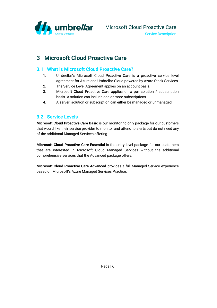

#### <span id="page-5-1"></span><span id="page-5-0"></span>**3.1 What is Microsoft Cloud Proactive Care?**

- 1. Umbrellar's Microsoft Cloud Proactive Care is a proactive service level agreement for Azure and Umbrellar Cloud powered by Azure Stack Services.
- 2. The Service Level Agreement applies on an account basis.
- 3. Microsoft Cloud Proactive Care applies on a per solution / subscription basis. A solution can include one or more subscriptions.
- 4. A server, solution or subscription can either be managed or unmanaged.

#### <span id="page-5-2"></span>**3.2 Service Levels**

**Microsoft Cloud Proactive Care Basic** is our monitoring only package for our customers that would like their service provider to monitor and attend to alerts but do not need any of the additional Managed Services offering.

**Microsoft Cloud Proactive Care Essential** is the entry level package for our customers that are interested in Microsoft Cloud Managed Services without the additional comprehensive services that the Advanced package offers.

**Microsoft Cloud Proactive Care Advanced** provides a full Managed Service experience based on Microsoft's Azure Managed Services Practice.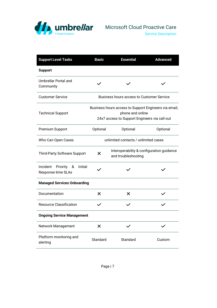

Service Description

| <b>Support Level Tasks</b>                              | <b>Basic</b>    | <b>Essential</b>                                                                                                           | <b>Advanced</b> |
|---------------------------------------------------------|-----------------|----------------------------------------------------------------------------------------------------------------------------|-----------------|
| <b>Support</b>                                          |                 |                                                                                                                            |                 |
| Umbrellar Portal and<br>Community                       |                 |                                                                                                                            |                 |
| <b>Customer Service</b>                                 |                 | <b>Business hours access to Customer Service</b>                                                                           |                 |
| <b>Technical Support</b>                                |                 | Business hours access to Support Engineers via email,<br>phone and online<br>24x7 access to Support Engineers via call-out |                 |
| Premium Support                                         | Optional        | Optional                                                                                                                   | Optional        |
| Who Can Open Cases                                      |                 | unlimited contacts / unlimited cases                                                                                       |                 |
| <b>Third-Party Software Support</b>                     | X               | Interoperability & configuration guidance<br>and troubleshooting                                                           |                 |
| Incident<br>Priority &<br>Initial<br>Response time SLAs |                 |                                                                                                                            |                 |
| <b>Managed Services Onboarding</b>                      |                 |                                                                                                                            |                 |
| Documentation                                           | X               | X                                                                                                                          |                 |
| <b>Resource Classification</b>                          |                 |                                                                                                                            |                 |
| <b>Ongoing Service Management</b>                       |                 |                                                                                                                            |                 |
| Network Management                                      | X               |                                                                                                                            |                 |
| Platform monitoring and<br>alerting                     | <b>Standard</b> | Standard                                                                                                                   | Custom          |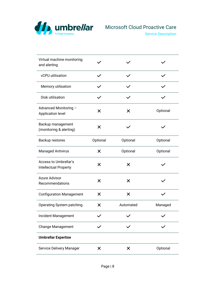

Service Description

| Virtual machine monitoring<br>and alerting     |          |           |          |
|------------------------------------------------|----------|-----------|----------|
| vCPU utilisation                               |          |           |          |
| Memory utilisation                             |          |           |          |
| Disk utilisation                               |          |           |          |
| Advanced Monitoring -<br>Application level     | X        | X         | Optional |
| Backup management<br>(monitoring & alerting)   | $\times$ |           |          |
| Backup restores                                | Optional | Optional  | Optional |
| <b>Managed Antivirus</b>                       | $\times$ | Optional  | Optional |
| Access to Umbrellar's<br>Intellectual Property | X        | X         |          |
| <b>Azure Advisor</b><br>Recommendations        | X        | X         |          |
| <b>Configuration Management</b>                | X        | ×         |          |
| Operating System patching                      | ×        | Automated | Managed  |
| Incident Management                            |          |           |          |
| <b>Change Management</b>                       |          |           |          |
| <b>Umbrellar Expertise</b>                     |          |           |          |
| Service Delivery Manager                       | ×        | ×         | Optional |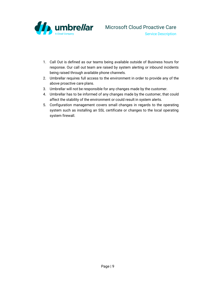

- 1. Call Out is defined as our teams being available outside of Business hours for response. Our call out team are raised by system alerting or inbound incidents being raised through available phone channels.
- 2. Umbrellar requires full access to the environment in order to provide any of the above proactive care plans.
- 3. Umbrellar will not be responsible for any changes made by the customer.
- 4. Umbrellar has to be informed of any changes made by the customer, that could affect the stability of the environment or could result in system alerts.
- 5. Configuration management covers small changes in regards to the operating system such as installing an SSL certificate or changes to the local operating system firewall.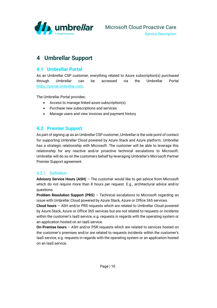

# <span id="page-9-0"></span>**4 Umbrellar Support**

#### <span id="page-9-1"></span>**4.1 Umbrellar Portal**

As an Umbrellar CSP customer, everything related to Azure subscription(s) purchased through Umbrellar can be accessed via the Umbrellar Portal [https://portal.umbrellar.com.](https://portal.umbrellar.com/)

The Umbrellar Portal provides:

- Access to manage linked azure subscription(s)
- Purchase new subscriptions and services
- Manage users and view invoices and payment history

#### <span id="page-9-2"></span>**4.2 Premier Support**

As part of signing up as an Umbrellar CSP customer, Umbrellar is the sole point of contact for supporting Umbrellar Cloud powered by Azure Stack and Azure platform. Umbrellar has a strategic relationship with Microsoft. The customer will be able to leverage this relationship for any reactive and/or proactive technical escalations to Microsoft. Umbrellar will do so on the customers behalf by leveraging Umbrellar's Microsoft Partner Premier Support agreement.

#### <span id="page-9-3"></span>4.2.1 Definition

**Advisory Service Hours (ASH)** – The customer would like to get advice from Microsoft which do not require more than 8 hours per request. E.g., architectural advice and/or questions.

**Problem Resolution Support (PRS)** – Technical escalations to Microsoft regarding an issue with Umbrellar Cloud powered by Azure Stack, Azure or Office 365 services.

**Cloud hours** – ASH and/or PRS requests which are related to Umbrellar Cloud powered by Azure Stack, Azure or Office 365 services but are not related to requests or incidents within the customer's IaaS service, e.g. requests in regards with the operating system or an application hosted on an IaaS service.

**On-Premise hours** – ASH and/or PSR requests which are related to services hosted on the customer's premises and/or are related to requests incidents within the customer's IaaS service, e.g. requests in regards with the operating system or an application hosted on an IaaS service.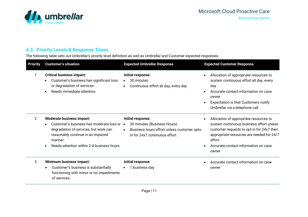

#### **4.3 Priority Levels & Response Times**

The following table sets out Umbrellar's priority level definition as well as Umbrellar and Customer expected responses.

<span id="page-10-0"></span>

| <b>Priority</b> | <b>Customer's situation</b>                                                                                                                                                                                                              | <b>Expected Umbrellar Response</b>                                                                                               | <b>Expected Customer Response</b>                                                                                                                                                                                                        |
|-----------------|------------------------------------------------------------------------------------------------------------------------------------------------------------------------------------------------------------------------------------------|----------------------------------------------------------------------------------------------------------------------------------|------------------------------------------------------------------------------------------------------------------------------------------------------------------------------------------------------------------------------------------|
| 1               | <b>Critical business impact:</b><br>Customer's business has significant loss<br>$\bullet$<br>or degradation of services<br>Needs immediate attention<br>$\bullet$                                                                        | Initial response:<br>30 minutes<br>Continuous effort all day, every day                                                          | Allocation of appropriate resources to<br>sustain continuous effort all day, every<br>day<br>Accurate contact information on case<br>owner<br><b>Expectation is that Customers notify</b><br>Umbrellar via a telephone call              |
| 2               | Moderate business impact:<br>Customer's business has moderate loss or •<br>$\bullet$<br>degradation of services, but work can<br>reasonably continue in an impaired<br>manner.<br>Needs attention within 2-4 business hours<br>$\bullet$ | Initial response:<br>30 minutes (Business Hours)<br>Business hours effort unless customer opts-<br>in for 24x7 continuous effort | Allocation of appropriate resources to<br>sustain continuous business effort unless<br>customer requests to opt-in for 24x7 then<br>appropriate resources are needed for 24/7<br>effort<br>Accurate contact information on case<br>owner |
| 3               | Minimum business impact:<br>Customer's business is substantially<br>functioning with minor or no impediments<br>of services.                                                                                                             | Initial response:<br>1 business day                                                                                              | Accurate contact information on case<br>owner                                                                                                                                                                                            |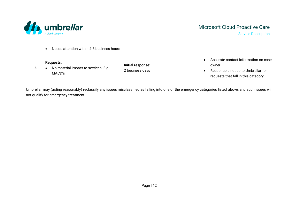

Service Description

• Needs attention within 4-8 business hours

4 • No material impact to services. E.g. MACD's

**Initial response:** 2 business days

- Accurate contact information on case owner
- Reasonable notice to Umbrellar for requests that fall in this category.

Umbrellar may (acting reasonably) reclassify any issues misclassified as falling into one of the emergency categories listed above, and such issues will not qualify for emergency treatment.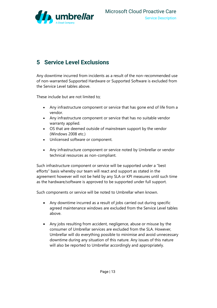

# <span id="page-12-0"></span>**5 Service Level Exclusions**

Any downtime incurred from incidents as a result of the non-recommended use of non-warranted Supported Hardware or Supported Software is excluded from the Service Level tables above.

These include but are not limited to;

- Any infrastructure component or service that has gone end of life from a vendor.
- Any infrastructure component or service that has no suitable vendor warranty applied.
- OS that are deemed outside of mainstream support by the vendor (Windows 2008 etc.)
- Unlicensed software or component.
- Any infrastructure component or service noted by Umbrellar or vendor technical resources as non-compliant.

Such infrastructure component or service will be supported under a "best efforts" basis whereby our team will react and support as stated in the agreement however will not be held by any SLA or KPI measures until such time as the hardware/software is approved to be supported under full support.

Such components or service will be noted to Umbrellar when known.

- Any downtime incurred as a result of jobs carried out during specific agreed maintenance windows are excluded from the Service Level tables above.
- Any jobs resulting from accident, negligence, abuse or misuse by the consumer of Umbrellar services are excluded from the SLA. However, Umbrellar will do everything possible to minimise and avoid unnecessary downtime during any situation of this nature. Any issues of this nature will also be reported to Umbrellar accordingly and appropriately.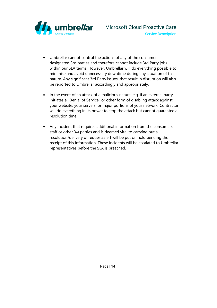

- Umbrellar cannot control the actions of any of the consumers designated 3rd parties and therefore cannot include 3rd Party jobs within our SLA terms. However, Umbrellar will do everything possible to minimise and avoid unnecessary downtime during any situation of this nature. Any significant 3rd Party issues, that result in disruption will also be reported to Umbrellar accordingly and appropriately.
- In the event of an attack of a malicious nature, e.g. if an external party initiates a "Denial of Service" or other form of disabling attack against your website, your servers, or major portions of your network, Contractor will do everything in its power to stop the attack but cannot guarantee a resolution time.
- Any Incident that requires additional information from the consumers staff or other 3rd parties and is deemed vital to carrying out a resolution/delivery of request/alert will be put on hold pending the receipt of this information. These incidents will be escalated to Umbrellar representatives before the SLA is breached.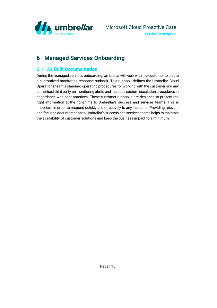

# <span id="page-14-0"></span>**6 Managed Services Onboarding**

#### <span id="page-14-1"></span>**6.1 As Built Documentation**

During the managed services onboarding, Umbrellar will work with the customer to create a customized monitoring response runbook. This runbook defines the Umbrellar Cloud Operations team's standard operating procedures for working with the customer and any authorised third party on monitoring alerts and includes custom escalation procedures in accordance with best practices. These customer runbooks are designed to present the right information at the right time to Umbrellar's success and services teams. This is important in order to respond quickly and effectively to any incidents. Providing relevant and focused documentation to Umbrellar's success and services teams helps to maintain the availability of customer solutions and keep the business impact to a minimum.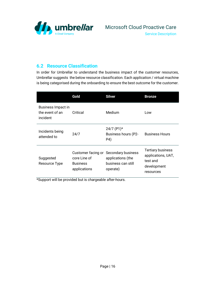

#### <span id="page-15-0"></span>**6.2 Resource Classification**

In order for Umbrellar to understand the business impact of the customer resources, Umbrellar suggests the below resource classification. Each application / virtual machine is being categorised during the onboarding to ensure the best outcome for the customer.

|                                                   | Gold                                                                  | <b>Silver</b>                                                             | <b>Bronze</b>                                                                          |
|---------------------------------------------------|-----------------------------------------------------------------------|---------------------------------------------------------------------------|----------------------------------------------------------------------------------------|
| Business Impact in<br>the event of an<br>incident | Critical                                                              | Medium                                                                    | Low                                                                                    |
| Incidents being<br>attended to                    | 24/7                                                                  | $24/7$ (P1)*<br>Business hours (P2-<br>P4)                                | <b>Business Hours</b>                                                                  |
| Suggested<br>Resource Type                        | Customer facing or<br>core Line of<br><b>Business</b><br>applications | Secondary business<br>applications (the<br>business can still<br>operate) | <b>Tertiary business</b><br>applications, UAT,<br>test and<br>development<br>resources |

\*Support will be provided but is chargeable after-hours.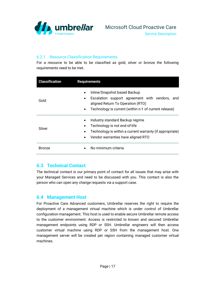

#### <span id="page-16-0"></span>6.2.1 Resource Classification Requirements

For a resource to be able to be classified as gold, silver or bronze the following requirements need to be met.

| <b>Classification</b> | <b>Requirements</b>                                                                                                                                                                       |
|-----------------------|-------------------------------------------------------------------------------------------------------------------------------------------------------------------------------------------|
| Gold                  | Inline/Snapshot based Backup<br>$\bullet$<br>Escalation support agreement with vendors, and<br>aligned Return To Operation (RTO)<br>Technology is current (within n-1 of current release) |
| Silver                | Industry standard Backup regime<br>Technology is not end-of-life<br>Technology is within a current warranty (if appropriate)<br>Vendor warranties have aligned RTO<br>$\bullet$           |
| <b>Bronze</b>         | No minimum criteria                                                                                                                                                                       |

#### <span id="page-16-1"></span>**6.3 Technical Contact**

The technical contact is our primary point of contact for all issues that may arise with your Managed Services and need to be discussed with you. This contact is also the person who can open any change requests via a support case.

#### <span id="page-16-2"></span>**6.4 Management Host**

For Proactive Care Advanced customers, Umbrellar reserves the right to require the deployment of a management virtual machine which is under control of Umbrellar configuration management. This host is used to enable secure Umbrellar remote access to the customer environment. Access is restricted to known and secured Umbrellar management endpoints using RDP or SSH. Umbrellar engineers will then access customer virtual machine using RDP or SSH from the management host. One management server will be created per region containing managed customer virtual machines.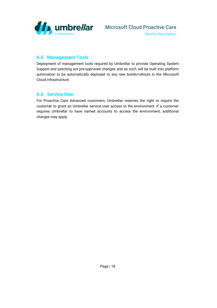

#### <span id="page-17-0"></span>**6.5 Management Tools**

Deployment of management tools required by Umbrellar to provide Operating System Support and patching are pre-approved changes and as such will be built into platform automation to be automatically deployed to any new builds/rollouts in the Microsoft Cloud infrastructure.

#### <span id="page-17-1"></span>**6.6 Service User**

For Proactive Care Advanced customers, Umbrellar reserves the right to require the customer to grant an Umbrellar service user access to the environment. If a customer requires Umbrellar to have named accounts to access the environment, additional charges may apply.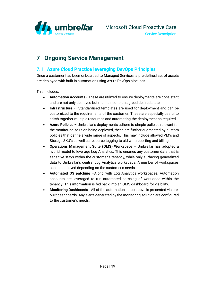

Service Description

# <span id="page-18-0"></span>**7 Ongoing Service Management**

#### <span id="page-18-1"></span>**7.1 Azure Cloud Practice leveraging DevOps Principles**

Once a customer has been onboarded to Managed Services, a pre-defined set of assets are deployed with built in automation using Azure DevOps pipelines.

This includes:

- **Automation Accounts** These are utilized to ensure deployments are consistent and are not only deployed but maintained to an agreed desired state.
- **Infrastructure** –Standardised templates are used for deployment and can be customized to the requirements of the customer. These are especially useful to stitch together multiple resources and automating the deployment as required.
- **Azure Policies** Umbrellar's deployments adhere to simple policies relevant for the monitoring solution being deployed, these are further augmented by custom policies that define a wide range of aspects. This may include allowed VM's and Storage SKU's as well as resource tagging to aid with reporting and billing.
- **Operations Management Suite (OMS) Workspace** Umbrellar has adopted a hybrid model to leverage Log Analytics. This ensures any customer data that is sensitive stays within the customer's tenancy, while only surfacing generalized data to Umbrellar's central Log Analytics workspace. A number of workspaces can be deployed depending on the customer's needs.
- **Automated OS patching** –Along with Log Analytics workspaces, Automation accounts are leveraged to run automated patching of workloads within the tenancy. This information is fed back into an OMS dashboard for visibility.
- **Monitoring Dashboards** All of the automation setup above is presented via prebuilt dashboards. Any alerts generated by the monitoring solution are configured to the customer's needs.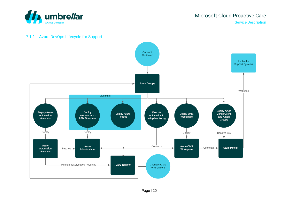Microsoft Cloud Proactive Care Service Description



#### 7.1.1 Azure DevOps Lifecycle for Support

<span id="page-19-0"></span>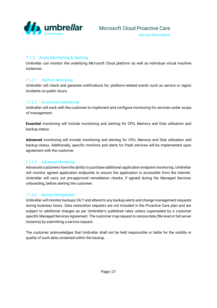

#### <span id="page-20-0"></span>7.1.2 Azure Monitoring & Alerting

Umbrellar can monitor the underlying Microsoft Cloud platform as well as individual virtual machine instances.

#### *7.1.2.1 Platform Monitoring*

Umbrellar will check and generate notifications for, platform-related events such as service or region incidents on public Azure.

#### *7.1.2.2 Environment Monitoring*

Umbrellar will work with the customer to implement and configure monitoring for services under scope of management.

**Essential** monitoring will include monitoring and alerting for CPU, Memory and Disk utilisation and backup status.

**Advanced** monitoring will include monitoring and alerting for CPU, Memory and Disk utilisation and backup status. Additionally, specific monitors and alerts for PaaS services will be implemented upon agreement with the customer.

#### *7.1.2.3 Advanced Monitoring*

Advanced customers have the ability to purchase additional application endpoint monitoring. Umbrellar will monitor agreed application endpoints to ensure the application is accessible from the internet. Umbrellar will carry out pre-approved remediation checks, if agreed during the Managed Services onboarding, before alerting the customer.

#### *7.1.2.4 Backup Management*

Umbrellar will monitor backups 24/7 and attend to any backup alerts and change management requests during business hours. Data restoration requests are not included in the Proactive Care plan and are subject to additional charges as per Umbrellar's published rates unless superseded by a customer specific Managed Services Agreement. The customer may request to restore data (file level or full server instance) by submitting a service request.

The customer acknowledges that Umbrellar shall not be held responsible or liable for the validity or quality of such data contained within the backup.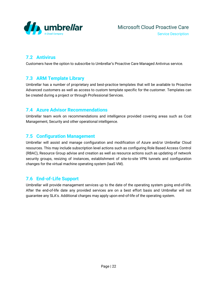

#### <span id="page-21-0"></span>**7.2 Antivirus**

Customers have the option to subscribe to Umbrellar's Proactive Care Managed Antivirus service.

#### <span id="page-21-1"></span>**7.3 ARM Template Library**

Umbrellar has a number of proprietary and best-practice templates that will be available to Proactive Advanced customers as well as access to custom template specific for the customer. Templates can be created during a project or through Professional Services.

#### <span id="page-21-2"></span>**7.4 Azure Advisor Recommendations**

Umbrellar team work on recommendations and intelligence provided covering areas such as Cost Management, Security and other operational intelligence.

#### <span id="page-21-3"></span>**7.5 Configuration Management**

Umbrellar will assist and manage configuration and modification of Azure and/or Umbrellar Cloud resources. This may include subscription level actions such as configuring Role Based Access Control (RBAC), Resource Group advise and creation as well as resource actions such as updating of network security groups, resizing of instances, establishment of site-to-site VPN tunnels and configuration changes for the virtual machine operating system (IaaS VM).

#### <span id="page-21-4"></span>**7.6 End-of-Life Support**

Umbrellar will provide management services up to the date of the operating system going end-of-life. After the end-of-life date any provided services are on a best effort basis and Umbrellar will not guarantee any SLA's. Additional charges may apply upon end-of-life of the operating system.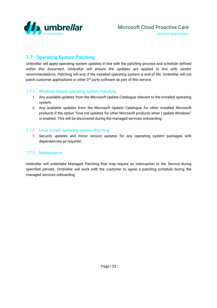

#### <span id="page-22-0"></span>**7.7 Operating System Patching**

Umbrellar will apply operating system updates in line with the patching process and schedule defined within this document. Umbrellar will ensure the updates are applied in line with vendor recommendations. Patching will end, if the installed operating system is end of life. Umbrellar will not patch customer applications or other 3<sup>rd</sup> party software as part of this service.

#### <span id="page-22-1"></span>7.7.1 Windows based operating system Patching

- 1. Any available updates from the Microsoft Update Catalogue relevant to the installed operating system.
- 2. Any available updates from the Microsoft Update Catalogue for other installed Microsoft products if the option "Give me updates for other Microsoft products when I update Windows" is enabled. This will be discovered during the managed services onboarding.

#### <span id="page-22-2"></span>7.7.2 Linux based operating system Patching

1. Security updates and minor version updates for any operating system packages with dependencies as required.

#### <span id="page-22-3"></span>7.7.3 Maintenance

Umbrellar will undertake Managed Patching that may require an interruption to the Service during specified periods. Umbrellar will work with the customer to agree a patching schedule during the managed services onboarding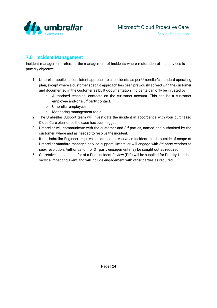

#### <span id="page-23-0"></span>**7.8 Incident Management**

Incident management refers to the management of incidents where restoration of the services is the primary objective.

- 1. Umbrellar applies a consistent approach to all incidents as per Umbrellar's standard operating plan, except where a customer specific approach has been previously agreed with the customer and documented in the customer as built documentation. Incidents can only be initiated by:
	- a. Authorised technical contacts on the customer account. This can be a customer employee and/or a 3<sup>rd</sup> party contact.
	- b. Umbrellar employees
	- c. Monitoring management tools
- 2. The Umbrellar Support team will investigate the incident in accordance with your purchased Cloud Care plan, once the case has been logged.
- 3. Umbrellar will communicate with the customer and  $3<sup>rd</sup>$  parties, named and authorised by the customer, where and as needed to resolve the incident.
- 4. If an Umbrellar Engineer requires assistance to resolve an incident that is outside of scope of Umbrellar standard manages service support, Umbrellar will engage with 3rd party vendors to seek resolution. Authorisation for 3<sup>rd</sup> party engagement may be sought out as required.
- 5. Corrective action in the for of a Post Incident Review (PIR) will be supplied for Priority 1 critical service impacting event and will include engagement with other parties as required.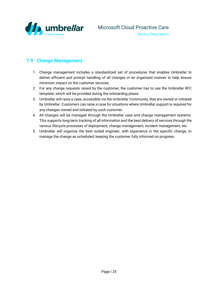

#### <span id="page-24-0"></span>**7.9 Change Management**

- 1. Change management includes a standardized set of procedures that enables Umbrellar to deliver efficient and prompt handling of all changes in an organized manner to help ensure minimum impact on the customer services.
- 2. For any change requests raised by the customer, the customer has to use the Umbrellar RFC template, which will be provided during the onboarding phase.
- 3. Umbrellar will raise a case, accessible via the Umbrellar Community, that are owned or initiated by Umbrellar. Customers can raise a case for situations where Umbrellar support is required for any changes owned and initiated by such customer.
- 4. All changes will be managed through the Umbrellar case and change management systems. This supports long-term tracking of all information and the best delivery of services through the various lifecycle processes of deployment, change management, incident management, etc.
- 5. Umbrellar will organize the best suited engineer, with experience in the specific change, to manage the change as scheduled, keeping the customer fully informed on progress.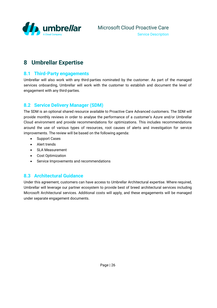

# <span id="page-25-0"></span>**8 Umbrellar Expertise**

#### <span id="page-25-1"></span>**8.1 Third-Party engagements**

Umbrellar will also work with any third-parties nominated by the customer. As part of the managed services onboarding, Umbrellar will work with the customer to establish and document the level of engagement with any third-parties.

#### <span id="page-25-2"></span>**8.2 Service Delivery Manager (SDM)**

The SDM is an optional shared resource available to Proactive Care Advanced customers. The SDM will provide monthly reviews in order to analyse the performance of a customer's Azure and/or Umbrellar Cloud environment and provide recommendations for optimizations. This includes recommendations around the use of various types of resources, root causes of alerts and investigation for service improvements. The review will be based on the following agenda:

- Support Cases
- Alert trends
- SLA Measurement
- Cost Optimization
- Service Improvements and recommendations

#### <span id="page-25-3"></span>**8.3 Architectural Guidance**

Under this agreement, customers can have access to Umbrellar Architectural expertise. Where required, Umbrellar will leverage our partner ecosystem to provide best of breed architectural services including Microsoft Architectural services. Additional costs will apply, and these engagements will be managed under separate engagement documents.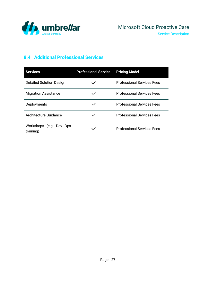

# <span id="page-26-0"></span>**8.4 Additional Professional Services**

| <b>Services</b>                      | <b>Professional Service</b> | <b>Pricing Model</b>              |
|--------------------------------------|-----------------------------|-----------------------------------|
| <b>Detailed Solution Design</b>      |                             | <b>Professional Services Fees</b> |
| <b>Migration Assistance</b>          |                             | <b>Professional Services Fees</b> |
| Deployments                          |                             | <b>Professional Services Fees</b> |
| Architecture Guidance                |                             | <b>Professional Services Fees</b> |
| Workshops (e.g. Dev Ops<br>training) |                             | <b>Professional Services Fees</b> |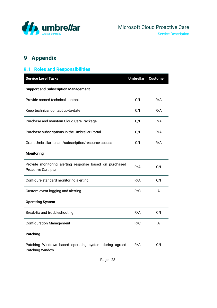

# <span id="page-27-0"></span>**9 Appendix**

# <span id="page-27-1"></span>**9.1 Roles and Responsibilities**

| <b>Service Level Tasks</b>                                                     | <b>Umbrellar</b> | <b>Customer</b> |
|--------------------------------------------------------------------------------|------------------|-----------------|
| <b>Support and Subscription Management</b>                                     |                  |                 |
| Provide named technical contact                                                | C/I              | R/A             |
| Keep technical contact up-to-date                                              | C/I              | R/A             |
| Purchase and maintain Cloud Care Package                                       | C/I              | R/A             |
| Purchase subscriptions in the Umbrellar Portal                                 | C/I              | R/A             |
| Grant Umbrellar tenant/subscription/resource access                            | C/I              | R/A             |
| <b>Monitoring</b>                                                              |                  |                 |
| Provide monitoring alerting response based on purchased<br>Proactive Care plan | R/A              | C/I             |
| Configure standard monitoring alerting                                         | R/A              | C/I             |
| Custom event logging and alerting                                              | R/C              | A               |
| <b>Operating System</b>                                                        |                  |                 |
| Break-fix and troubleshooting                                                  | R/A              | C/I             |
| <b>Configuration Management</b>                                                | R/C              | A               |
| <b>Patching</b>                                                                |                  |                 |
| Patching Windows based operating system during agreed<br>Patching Window       | R/A              | C/I             |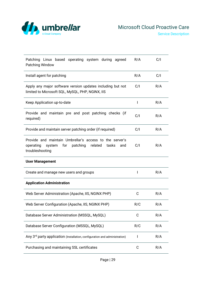

| Patching Linux based operating system during agreed<br>Patching Window                                                                       | R/A | C/I |
|----------------------------------------------------------------------------------------------------------------------------------------------|-----|-----|
| Install agent for patching                                                                                                                   | R/A | C/I |
| Apply any major software version updates including but not<br>limited to Microsoft SQL, MySQL, PHP, NGINX, IIS                               | C/I | R/A |
| Keep Application up-to-date                                                                                                                  | I   | R/A |
| Provide and maintain pre and post patching checks (if<br>required)                                                                           | C/I | R/A |
| Provide and maintain server patching order (if required)                                                                                     | C/I | R/A |
| Provide and maintain Umbrellar's access to the server's<br>operating<br>system for<br>patching<br>related<br>tasks<br>and<br>troubleshooting | C/I | R/A |
| <b>User Management</b>                                                                                                                       |     |     |
| Create and manage new users and groups                                                                                                       | I   | R/A |
| <b>Application Administration</b>                                                                                                            |     |     |
| Web Server Administration (Apache, IIS, NGINX PHP)                                                                                           | C   | R/A |
| Web Server Configuration (Apache, IIS, NGINX PHP)                                                                                            | R/C | R/A |
| Database Server Administration (MSSQL, MySQL)                                                                                                | C   | R/A |
| Database Server Configuration (MSSQL, MySQL)                                                                                                 | R/C | R/A |
| Any 3rd party application (Installation, configuration and administration)                                                                   | I   | R/A |
| Purchasing and maintaining SSL certificates                                                                                                  |     |     |

Page | 29